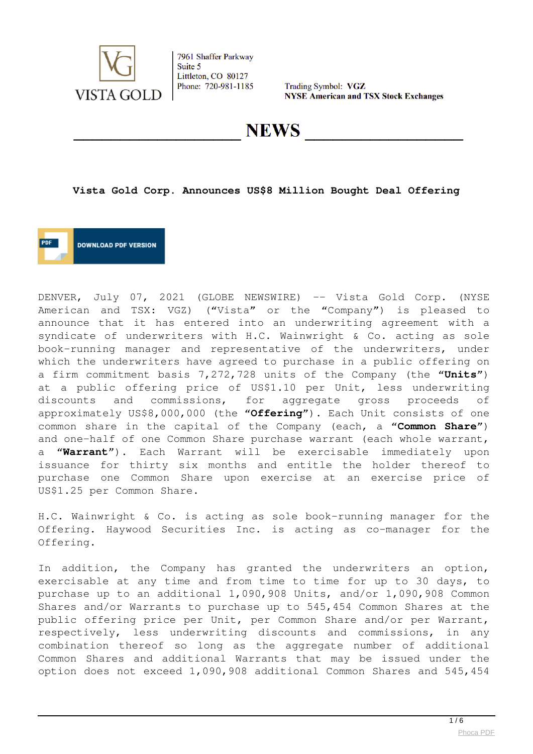

Trading Symbol: VGZ **NYSE American and TSX Stock Exchanges** 

**NEWS** 

### **Vista Gold Corp. Announces US\$8 Million Bought Deal Offering**

**DOWNLOAD PDF VERSION** 

DENVER, July 07, 2021 (GLOBE NEWSWIRE) -- Vista Gold Corp. (NYSE American and TSX: VGZ) ("Vista" or the "Company") is pleased to announce that it has entered into an underwriting agreement with a syndicate of underwriters with H.C. Wainwright & Co. acting as sole book-running manager and representative of the underwriters, under which the underwriters have agreed to purchase in a public offering on a firm commitment basis 7,272,728 units of the Company (the "**Units**") at a public offering price of US\$1.10 per Unit, less underwriting discounts and commissions, for aggregate gross proceeds of approximately US\$8,000,000 (the "**Offering**"). Each Unit consists of one common share in the capital of the Company (each, a "**Common Share**") and one-half of one Common Share purchase warrant (each whole warrant, a "**Warrant**"). Each Warrant will be exercisable immediately upon issuance for thirty six months and entitle the holder thereof to purchase one Common Share upon exercise at an exercise price of US\$1.25 per Common Share.

H.C. Wainwright & Co. is acting as sole book-running manager for the Offering. Haywood Securities Inc. is acting as co-manager for the Offering.

In addition, the Company has granted the underwriters an option, exercisable at any time and from time to time for up to 30 days, to purchase up to an additional 1,090,908 Units, and/or 1,090,908 Common Shares and/or Warrants to purchase up to 545,454 Common Shares at the public offering price per Unit, per Common Share and/or per Warrant, respectively, less underwriting discounts and commissions, in any combination thereof so long as the aggregate number of additional Common Shares and additional Warrants that may be issued under the option does not exceed 1,090,908 additional Common Shares and 545,454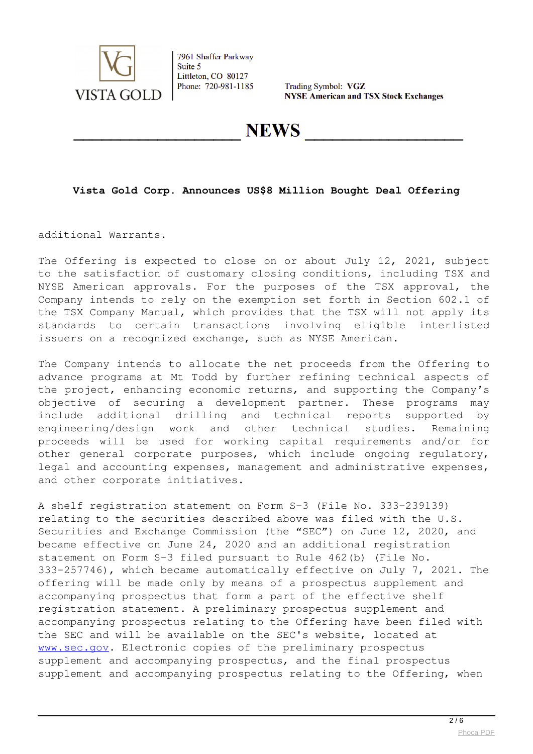

Trading Symbol: VGZ **NYSE American and TSX Stock Exchanges** 

**NEWS** 

# **Vista Gold Corp. Announces US\$8 Million Bought Deal Offering**

additional Warrants.

The Offering is expected to close on or about July 12, 2021, subject to the satisfaction of customary closing conditions, including TSX and NYSE American approvals. For the purposes of the TSX approval, the Company intends to rely on the exemption set forth in Section 602.1 of the TSX Company Manual, which provides that the TSX will not apply its standards to certain transactions involving eligible interlisted issuers on a recognized exchange, such as NYSE American.

The Company intends to allocate the net proceeds from the Offering to advance programs at Mt Todd by further refining technical aspects of the project, enhancing economic returns, and supporting the Company's objective of securing a development partner. These programs may include additional drilling and technical reports supported by engineering/design work and other technical studies. Remaining proceeds will be used for working capital requirements and/or for other general corporate purposes, which include ongoing regulatory, legal and accounting expenses, management and administrative expenses, and other corporate initiatives.

A shelf registration statement on Form S-3 (File No. 333-239139) relating to the securities described above was filed with the U.S. Securities and Exchange Commission (the "SEC") on June 12, 2020, and became effective on June 24, 2020 and an additional registration statement on Form S-3 filed pursuant to Rule 462(b) (File No. 333-257746), which became automatically effective on July 7, 2021. The offering will be made only by means of a prospectus supplement and accompanying prospectus that form a part of the effective shelf registration statement. A preliminary prospectus supplement and accompanying prospectus relating to the Offering have been filed with the SEC and will be available on the SEC's website, located at [www.sec.gov.](https://www.globenewswire.com/Tracker?data=kf8lWvfuknSA5IjV3ABSCZ_vERt-QA5OQKEbwYGoP0PSDY7crcmB5cfwZJ4FUkazmmQRHcDz6Tgjf3b4lp3D9Q==) Electronic copies of the preliminary prospectus supplement and accompanying prospectus, and the final prospectus supplement and accompanying prospectus relating to the Offering, when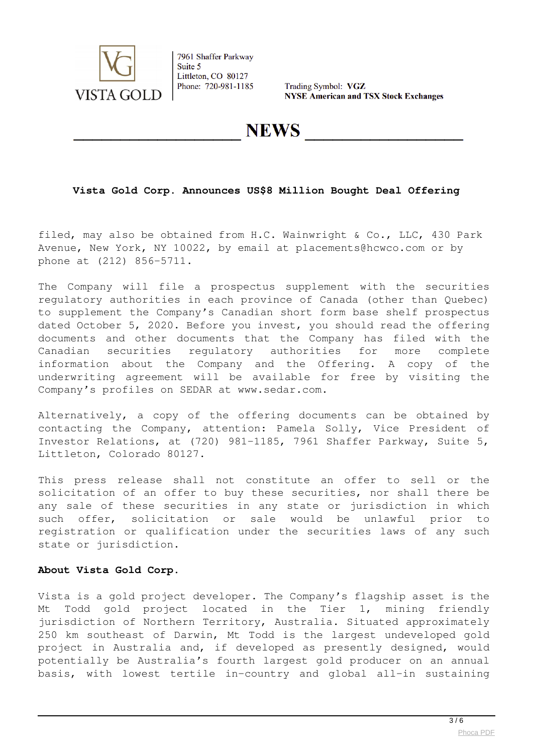

Trading Symbol: VGZ **NYSE American and TSX Stock Exchanges** 

**NEWS** 

## **Vista Gold Corp. Announces US\$8 Million Bought Deal Offering**

filed, may also be obtained from H.C. Wainwright & Co., LLC, 430 Park Avenue, New York, NY 10022, by email at placements@hcwco.com or by phone at (212) 856-5711.

The Company will file a prospectus supplement with the securities regulatory authorities in each province of Canada (other than Quebec) to supplement the Company's Canadian short form base shelf prospectus dated October 5, 2020. Before you invest, you should read the offering documents and other documents that the Company has filed with the Canadian securities regulatory authorities for more complete information about the Company and the Offering. A copy of the underwriting agreement will be available for free by visiting the Company's profiles on SEDAR at www.sedar.com.

Alternatively, a copy of the offering documents can be obtained by contacting the Company, attention: Pamela Solly, Vice President of Investor Relations, at (720) 981-1185, 7961 Shaffer Parkway, Suite 5, Littleton, Colorado 80127.

This press release shall not constitute an offer to sell or the solicitation of an offer to buy these securities, nor shall there be any sale of these securities in any state or jurisdiction in which such offer, solicitation or sale would be unlawful prior to registration or qualification under the securities laws of any such state or jurisdiction.

### **About Vista Gold Corp.**

Vista is a gold project developer. The Company's flagship asset is the Mt Todd gold project located in the Tier 1, mining friendly jurisdiction of Northern Territory, Australia. Situated approximately 250 km southeast of Darwin, Mt Todd is the largest undeveloped gold project in Australia and, if developed as presently designed, would potentially be Australia's fourth largest gold producer on an annual basis, with lowest tertile in-country and global all-in sustaining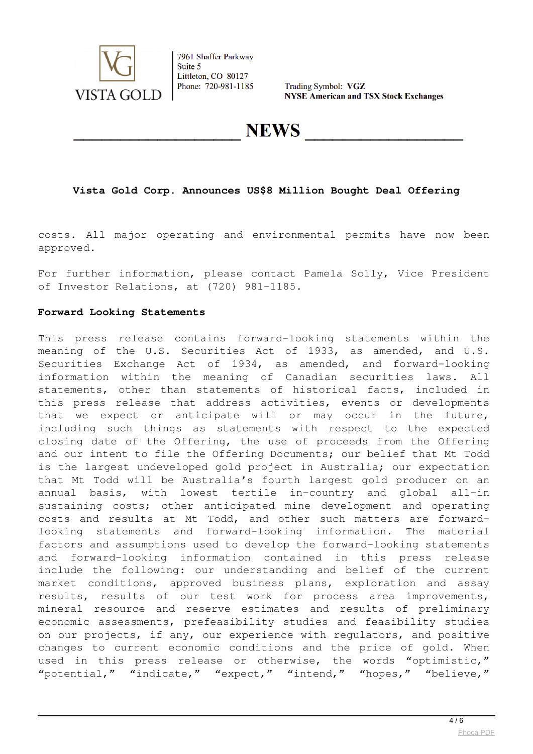

Trading Symbol: VGZ **NYSE American and TSX Stock Exchanges** 

**NEWS** 

## **Vista Gold Corp. Announces US\$8 Million Bought Deal Offering**

costs. All major operating and environmental permits have now been approved.

For further information, please contact Pamela Solly, Vice President of Investor Relations, at (720) 981-1185.

#### **Forward Looking Statements**

This press release contains forward-looking statements within the meaning of the U.S. Securities Act of 1933, as amended, and U.S. Securities Exchange Act of 1934, as amended, and forward-looking information within the meaning of Canadian securities laws. All statements, other than statements of historical facts, included in this press release that address activities, events or developments that we expect or anticipate will or may occur in the future, including such things as statements with respect to the expected closing date of the Offering, the use of proceeds from the Offering and our intent to file the Offering Documents; our belief that Mt Todd is the largest undeveloped gold project in Australia; our expectation that Mt Todd will be Australia's fourth largest gold producer on an annual basis, with lowest tertile in-country and global all-in sustaining costs; other anticipated mine development and operating costs and results at Mt Todd, and other such matters are forwardlooking statements and forward-looking information. The material factors and assumptions used to develop the forward-looking statements and forward-looking information contained in this press release include the following: our understanding and belief of the current market conditions, approved business plans, exploration and assay results, results of our test work for process area improvements, mineral resource and reserve estimates and results of preliminary economic assessments, prefeasibility studies and feasibility studies on our projects, if any, our experience with regulators, and positive changes to current economic conditions and the price of gold. When used in this press release or otherwise, the words "optimistic," "potential," "indicate," "expect," "intend," "hopes," "believe,"

 $\overline{4/6}$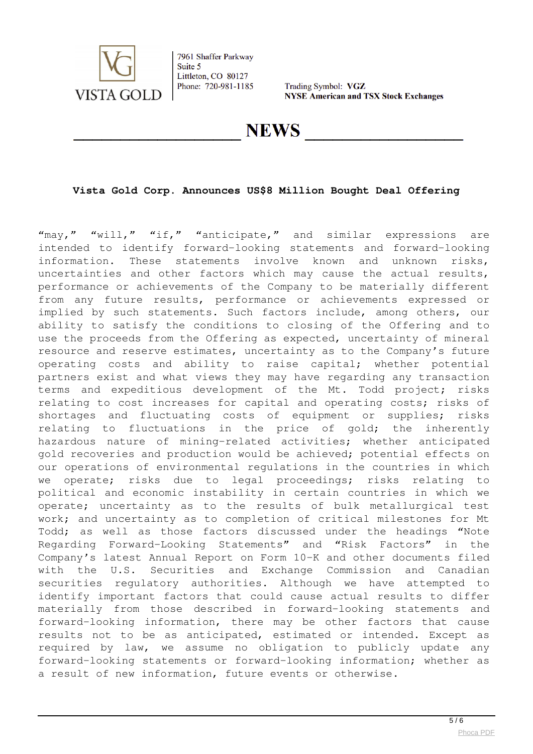

Trading Symbol: VGZ **NYSE American and TSX Stock Exchanges** 

**NEWS** 

# **Vista Gold Corp. Announces US\$8 Million Bought Deal Offering**

"may," "will," "if," "anticipate," and similar expressions are intended to identify forward-looking statements and forward-looking information. These statements involve known and unknown risks, uncertainties and other factors which may cause the actual results, performance or achievements of the Company to be materially different from any future results, performance or achievements expressed or implied by such statements. Such factors include, among others, our ability to satisfy the conditions to closing of the Offering and to use the proceeds from the Offering as expected, uncertainty of mineral resource and reserve estimates, uncertainty as to the Company's future operating costs and ability to raise capital; whether potential partners exist and what views they may have regarding any transaction terms and expeditious development of the Mt. Todd project; risks relating to cost increases for capital and operating costs; risks of shortages and fluctuating costs of equipment or supplies; risks relating to fluctuations in the price of gold; the inherently hazardous nature of mining-related activities; whether anticipated gold recoveries and production would be achieved; potential effects on our operations of environmental regulations in the countries in which we operate; risks due to legal proceedings; risks relating to political and economic instability in certain countries in which we operate; uncertainty as to the results of bulk metallurgical test work; and uncertainty as to completion of critical milestones for Mt Todd; as well as those factors discussed under the headings "Note Regarding Forward-Looking Statements" and "Risk Factors" in the Company's latest Annual Report on Form 10-K and other documents filed with the U.S. Securities and Exchange Commission and Canadian securities regulatory authorities. Although we have attempted to identify important factors that could cause actual results to differ materially from those described in forward-looking statements and forward-looking information, there may be other factors that cause results not to be as anticipated, estimated or intended. Except as required by law, we assume no obligation to publicly update any forward-looking statements or forward-looking information; whether as a result of new information, future events or otherwise.